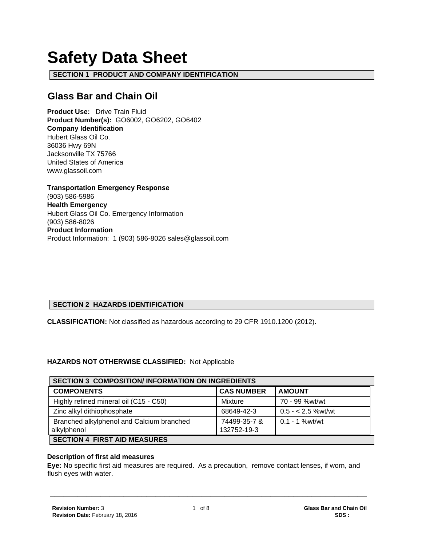# **Safety Data Sheet**

**SECTION 1 PRODUCT AND COMPANY IDENTIFICATION**

# **Glass Bar and Chain Oil**

**Product Use:** Drive Train Fluid **Product Number(s):** GO6002, GO6202, GO6402 **Company Identification** Hubert Glass Oil Co. 36036 Hwy 69N Jacksonville TX 75766 United States of America www.glassoil.com

**Transportation Emergency Response** (903) 586-5986 **Health Emergency** Hubert Glass Oil Co. Emergency Information (903) 586-8026 **Product Information**  Product Information: 1 (903) 586-8026 sales@glassoil.com

# **SECTION 2 HAZARDS IDENTIFICATION**

**CLASSIFICATION:** Not classified as hazardous according to 29 CFR 1910.1200 (2012).

## **HAZARDS NOT OTHERWISE CLASSIFIED:** Not Applicable

| <b>SECTION 3 COMPOSITION/ INFORMATION ON INGREDIENTS</b> |                   |                      |  |
|----------------------------------------------------------|-------------------|----------------------|--|
| <b>COMPONENTS</b>                                        | <b>CAS NUMBER</b> | <b>AMOUNT</b>        |  |
| Highly refined mineral oil (C15 - C50)                   | Mixture           | 70 - 99 %wt/wt       |  |
| Zinc alkyl dithiophosphate                               | 68649-42-3        | $0.5 - < 2.5$ %wt/wt |  |
| Branched alkylphenol and Calcium branched                | 74499-35-7 &      | $0.1 - 1$ % wt/wt    |  |
| alkylphenol                                              | 132752-19-3       |                      |  |
| <b>SECTION 4 FIRST AID MEASURES</b>                      |                   |                      |  |

#### **Description of first aid measures**

**Eye:** No specific first aid measures are required. As a precaution, remove contact lenses, if worn, and flush eyes with water.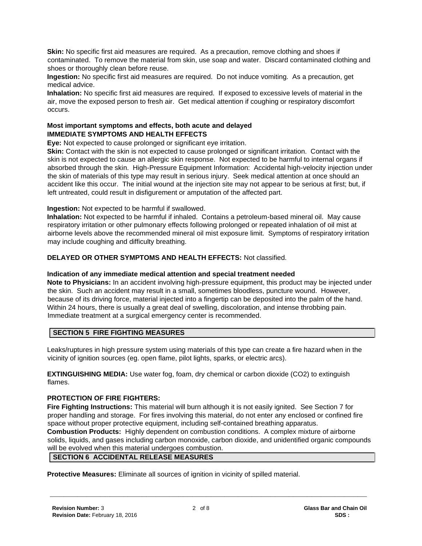**Skin:** No specific first aid measures are required. As a precaution, remove clothing and shoes if contaminated. To remove the material from skin, use soap and water. Discard contaminated clothing and shoes or thoroughly clean before reuse.

**Ingestion:** No specific first aid measures are required. Do not induce vomiting. As a precaution, get medical advice.

**Inhalation:** No specific first aid measures are required. If exposed to excessive levels of material in the air, move the exposed person to fresh air. Get medical attention if coughing or respiratory discomfort occurs.

#### **Most important symptoms and effects, both acute and delayed IMMEDIATE SYMPTOMS AND HEALTH EFFECTS**

**Eye:** Not expected to cause prolonged or significant eye irritation.

**Skin:** Contact with the skin is not expected to cause prolonged or significant irritation. Contact with the skin is not expected to cause an allergic skin response. Not expected to be harmful to internal organs if absorbed through the skin. High-Pressure Equipment Information: Accidental high-velocity injection under the skin of materials of this type may result in serious injury. Seek medical attention at once should an accident like this occur. The initial wound at the injection site may not appear to be serious at first; but, if left untreated, could result in disfigurement or amputation of the affected part.

**Ingestion:** Not expected to be harmful if swallowed.

**Inhalation:** Not expected to be harmful if inhaled. Contains a petroleum-based mineral oil. May cause respiratory irritation or other pulmonary effects following prolonged or repeated inhalation of oil mist at airborne levels above the recommended mineral oil mist exposure limit. Symptoms of respiratory irritation may include coughing and difficulty breathing.

## **DELAYED OR OTHER SYMPTOMS AND HEALTH EFFECTS:** Not classified.

#### **Indication of any immediate medical attention and special treatment needed**

**Note to Physicians:** In an accident involving high-pressure equipment, this product may be injected under the skin. Such an accident may result in a small, sometimes bloodless, puncture wound. However, because of its driving force, material injected into a fingertip can be deposited into the palm of the hand. Within 24 hours, there is usually a great deal of swelling, discoloration, and intense throbbing pain. Immediate treatment at a surgical emergency center is recommended.

# **SECTION 5 FIRE FIGHTING MEASURES**

Leaks/ruptures in high pressure system using materials of this type can create a fire hazard when in the vicinity of ignition sources (eg. open flame, pilot lights, sparks, or electric arcs).

**EXTINGUISHING MEDIA:** Use water fog, foam, dry chemical or carbon dioxide (CO2) to extinguish flames.

# **PROTECTION OF FIRE FIGHTERS:**

**Fire Fighting Instructions:** This material will burn although it is not easily ignited. See Section 7 for proper handling and storage. For fires involving this material, do not enter any enclosed or confined fire space without proper protective equipment, including self-contained breathing apparatus.

**Combustion Products:** Highly dependent on combustion conditions. A complex mixture of airborne solids, liquids, and gases including carbon monoxide, carbon dioxide, and unidentified organic compounds will be evolved when this material undergoes combustion.

## **SECTION 6 ACCIDENTAL RELEASE MEASURES**

**Protective Measures:** Eliminate all sources of ignition in vicinity of spilled material.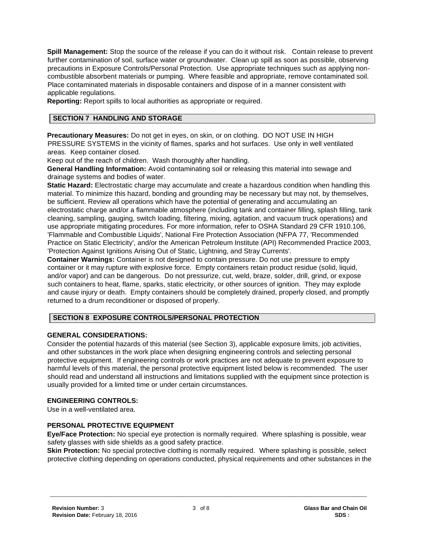**Spill Management:** Stop the source of the release if you can do it without risk. Contain release to prevent further contamination of soil, surface water or groundwater. Clean up spill as soon as possible, observing precautions in Exposure Controls/Personal Protection. Use appropriate techniques such as applying noncombustible absorbent materials or pumping. Where feasible and appropriate, remove contaminated soil. Place contaminated materials in disposable containers and dispose of in a manner consistent with applicable regulations.

**Reporting:** Report spills to local authorities as appropriate or required.

# **SECTION 7 HANDLING AND STORAGE**

**Precautionary Measures:** Do not get in eyes, on skin, or on clothing. DO NOT USE IN HIGH PRESSURE SYSTEMS in the vicinity of flames, sparks and hot surfaces. Use only in well ventilated areas. Keep container closed.

Keep out of the reach of children. Wash thoroughly after handling.

**General Handling Information:** Avoid contaminating soil or releasing this material into sewage and drainage systems and bodies of water.

**Static Hazard:** Electrostatic charge may accumulate and create a hazardous condition when handling this material. To minimize this hazard, bonding and grounding may be necessary but may not, by themselves, be sufficient. Review all operations which have the potential of generating and accumulating an electrostatic charge and/or a flammable atmosphere (including tank and container filling, splash filling, tank cleaning, sampling, gauging, switch loading, filtering, mixing, agitation, and vacuum truck operations) and use appropriate mitigating procedures. For more information, refer to OSHA Standard 29 CFR 1910.106, 'Flammable and Combustible Liquids', National Fire Protection Association (NFPA 77, 'Recommended Practice on Static Electricity', and/or the American Petroleum Institute (API) Recommended Practice 2003, 'Protection Against Ignitions Arising Out of Static, Lightning, and Stray Currents'.

**Container Warnings:** Container is not designed to contain pressure. Do not use pressure to empty container or it may rupture with explosive force. Empty containers retain product residue (solid, liquid, and/or vapor) and can be dangerous. Do not pressurize, cut, weld, braze, solder, drill, grind, or expose such containers to heat, flame, sparks, static electricity, or other sources of ignition. They may explode and cause injury or death. Empty containers should be completely drained, properly closed, and promptly returned to a drum reconditioner or disposed of properly.

## **SECTION 8 EXPOSURE CONTROLS/PERSONAL PROTECTION**

## **GENERAL CONSIDERATIONS:**

Consider the potential hazards of this material (see Section 3), applicable exposure limits, job activities, and other substances in the work place when designing engineering controls and selecting personal protective equipment. If engineering controls or work practices are not adequate to prevent exposure to harmful levels of this material, the personal protective equipment listed below is recommended. The user should read and understand all instructions and limitations supplied with the equipment since protection is usually provided for a limited time or under certain circumstances.

## **ENGINEERING CONTROLS:**

Use in a well-ventilated area.

## **PERSONAL PROTECTIVE EQUIPMENT**

**Eye/Face Protection:** No special eye protection is normally required. Where splashing is possible, wear safety glasses with side shields as a good safety practice.

**Skin Protection:** No special protective clothing is normally required. Where splashing is possible, select protective clothing depending on operations conducted, physical requirements and other substances in the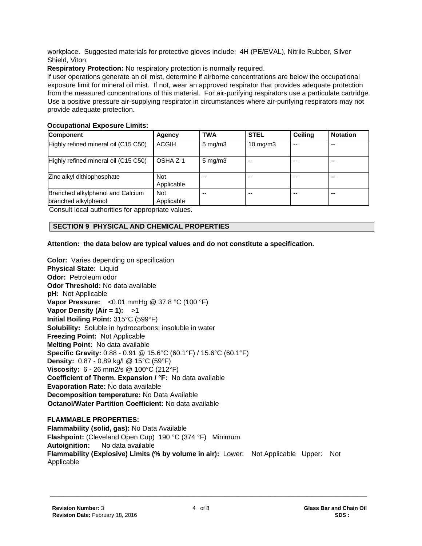workplace. Suggested materials for protective gloves include: 4H (PE/EVAL), Nitrile Rubber, Silver Shield, Viton.

**Respiratory Protection:** No respiratory protection is normally required.

If user operations generate an oil mist, determine if airborne concentrations are below the occupational exposure limit for mineral oil mist. If not, wear an approved respirator that provides adequate protection from the measured concentrations of this material. For air-purifying respirators use a particulate cartridge. Use a positive pressure air-supplying respirator in circumstances where air-purifying respirators may not provide adequate protection.

# **Occupational Exposure Limits:**

| <b>Component</b>                                         | Agency                   | <b>TWA</b>         | <b>STEL</b>       | <b>Ceiling</b> | <b>Notation</b> |
|----------------------------------------------------------|--------------------------|--------------------|-------------------|----------------|-----------------|
| Highly refined mineral oil (C15 C50)                     | ACGIH                    | $5 \text{ mg/m}$ 3 | $10 \text{ mg/m}$ | --             | --              |
| Highly refined mineral oil (C15 C50)                     | OSHA Z-1                 | $5 \text{ mg/m}$ 3 | --                | --             | --              |
| Zinc alkyl dithiophosphate                               | <b>Not</b><br>Applicable | --                 |                   | --             | --              |
| Branched alkylphenol and Calcium<br>branched alkylphenol | <b>Not</b><br>Applicable | --                 | --                | --             | --              |

Consult local authorities for appropriate values.

# **SECTION 9 PHYSICAL AND CHEMICAL PROPERTIES**

## **Attention: the data below are typical values and do not constitute a specification.**

**Color:** Varies depending on specification **Physical State:** Liquid **Odor:** Petroleum odor **Odor Threshold:** No data available **pH:** Not Applicable **Vapor Pressure:** <0.01 mmHg @ 37.8 °C (100 °F) **Vapor Density (Air = 1):** >1 **Initial Boiling Point:** 315°C (599°F) **Solubility:** Soluble in hydrocarbons; insoluble in water **Freezing Point:** Not Applicable **Melting Point:** No data available **Specific Gravity:** 0.88 - 0.91 @ 15.6°C (60.1°F) / 15.6°C (60.1°F) **Density:** 0.87 - 0.89 kg/l @ 15°C (59°F) **Viscosity:** 6 - 26 mm2/s @ 100°C (212°F) **Coefficient of Therm. Expansion / °F:** No data available **Evaporation Rate:** No data available **Decomposition temperature:** No Data Available **Octanol/Water Partition Coefficient:** No data available

**FLAMMABLE PROPERTIES: Flammability (solid, gas):** No Data Available **Flashpoint:** (Cleveland Open Cup) 190 °C (374 °F) Minimum **Autoignition:** No data available **Flammability (Explosive) Limits (% by volume in air):** Lower: Not Applicable Upper: Not Applicable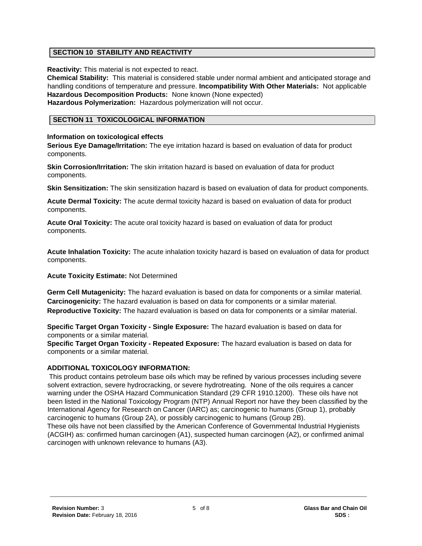# **SECTION 10 STABILITY AND REACTIVITY**

**Reactivity:** This material is not expected to react.

**Chemical Stability:** This material is considered stable under normal ambient and anticipated storage and handling conditions of temperature and pressure. **Incompatibility With Other Materials:** Not applicable **Hazardous Decomposition Products:** None known (None expected) **Hazardous Polymerization:** Hazardous polymerization will not occur.

# **SECTION 11 TOXICOLOGICAL INFORMATION**

#### **Information on toxicological effects**

**Serious Eye Damage/Irritation:** The eye irritation hazard is based on evaluation of data for product components.

**Skin Corrosion/Irritation:** The skin irritation hazard is based on evaluation of data for product components.

**Skin Sensitization:** The skin sensitization hazard is based on evaluation of data for product components.

**Acute Dermal Toxicity:** The acute dermal toxicity hazard is based on evaluation of data for product components.

**Acute Oral Toxicity:** The acute oral toxicity hazard is based on evaluation of data for product components.

**Acute Inhalation Toxicity:** The acute inhalation toxicity hazard is based on evaluation of data for product components.

**Acute Toxicity Estimate:** Not Determined

**Germ Cell Mutagenicity:** The hazard evaluation is based on data for components or a similar material. **Carcinogenicity:** The hazard evaluation is based on data for components or a similar material. **Reproductive Toxicity:** The hazard evaluation is based on data for components or a similar material.

**Specific Target Organ Toxicity - Single Exposure:** The hazard evaluation is based on data for components or a similar material.

**Specific Target Organ Toxicity - Repeated Exposure:** The hazard evaluation is based on data for components or a similar material.

## **ADDITIONAL TOXICOLOGY INFORMATION:**

This product contains petroleum base oils which may be refined by various processes including severe solvent extraction, severe hydrocracking, or severe hydrotreating. None of the oils requires a cancer warning under the OSHA Hazard Communication Standard (29 CFR 1910.1200). These oils have not been listed in the National Toxicology Program (NTP) Annual Report nor have they been classified by the International Agency for Research on Cancer (IARC) as; carcinogenic to humans (Group 1), probably carcinogenic to humans (Group 2A), or possibly carcinogenic to humans (Group 2B).

These oils have not been classified by the American Conference of Governmental Industrial Hygienists (ACGIH) as: confirmed human carcinogen (A1), suspected human carcinogen (A2), or confirmed animal carcinogen with unknown relevance to humans (A3).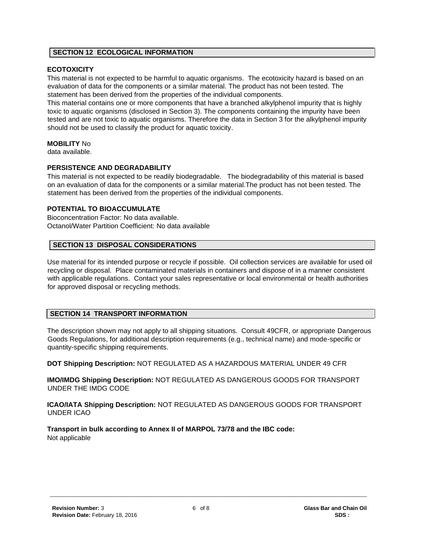#### **SECTION 12 ECOLOGICAL INFORMATION**

## **ECOTOXICITY**

This material is not expected to be harmful to aquatic organisms. The ecotoxicity hazard is based on an evaluation of data for the components or a similar material. The product has not been tested. The statement has been derived from the properties of the individual components.

This material contains one or more components that have a branched alkylphenol impurity that is highly toxic to aquatic organisms (disclosed in Section 3). The components containing the impurity have been tested and are not toxic to aquatic organisms. Therefore the data in Section 3 for the alkylphenol impurity should not be used to classify the product for aquatic toxicity.

#### **MOBILITY** No

data available.

## **PERSISTENCE AND DEGRADABILITY**

This material is not expected to be readily biodegradable. The biodegradability of this material is based on an evaluation of data for the components or a similar material.The product has not been tested. The statement has been derived from the properties of the individual components.

# **POTENTIAL TO BIOACCUMULATE**

Bioconcentration Factor: No data available. Octanol/Water Partition Coefficient: No data available

#### **SECTION 13 DISPOSAL CONSIDERATIONS**

Use material for its intended purpose or recycle if possible. Oil collection services are available for used oil recycling or disposal. Place contaminated materials in containers and dispose of in a manner consistent with applicable regulations. Contact your sales representative or local environmental or health authorities for approved disposal or recycling methods.

## **SECTION 14 TRANSPORT INFORMATION**

The description shown may not apply to all shipping situations. Consult 49CFR, or appropriate Dangerous Goods Regulations, for additional description requirements (e.g., technical name) and mode-specific or quantity-specific shipping requirements.

**DOT Shipping Description:** NOT REGULATED AS A HAZARDOUS MATERIAL UNDER 49 CFR

**IMO/IMDG Shipping Description:** NOT REGULATED AS DANGEROUS GOODS FOR TRANSPORT UNDER THE IMDG CODE

**ICAO/IATA Shipping Description:** NOT REGULATED AS DANGEROUS GOODS FOR TRANSPORT UNDER ICAO

**Transport in bulk according to Annex II of MARPOL 73/78 and the IBC code:** Not applicable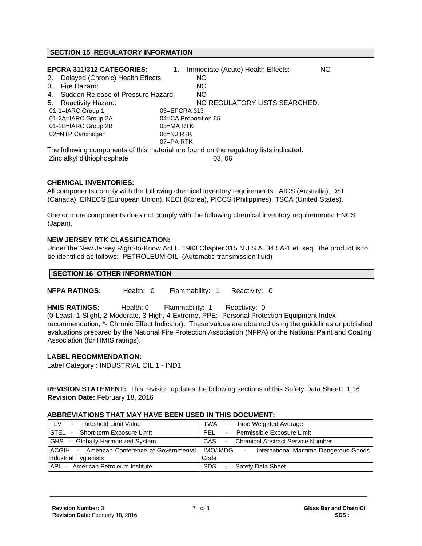# **SECTION 15 REGULATORY INFORMATION**

|                     | <b>EPCRA 311/312 CATEGORIES:</b>                                                       | $1_{\cdot}$   |                      | Immediate (Acute) Health Effects: | NO |
|---------------------|----------------------------------------------------------------------------------------|---------------|----------------------|-----------------------------------|----|
| 2.                  | Delayed (Chronic) Health Effects:                                                      |               | NO.                  |                                   |    |
| Fire Hazard:<br>3.  |                                                                                        |               | NO.                  |                                   |    |
| 4.                  | Sudden Release of Pressure Hazard:                                                     |               | <b>NO</b>            |                                   |    |
| 5.                  | <b>Reactivity Hazard:</b>                                                              |               |                      | NO REGULATORY LISTS SEARCHED:     |    |
| 01-1=IARC Group 1   |                                                                                        | 03=EPCRA 313  |                      |                                   |    |
| 01-2A=IARC Group 2A |                                                                                        |               | 04=CA Proposition 65 |                                   |    |
| 01-2B=IARC Group 2B |                                                                                        | 05=MARTK      |                      |                                   |    |
| 02=NTP Carcinogen   |                                                                                        | 06=NJ RTK     |                      |                                   |    |
|                     |                                                                                        | $07 = PA$ RTK |                      |                                   |    |
|                     | The following components of this material are found on the regulatory lists indicated. |               |                      |                                   |    |
|                     | Zinc alkyl dithiophosphate                                                             |               |                      | 03.06                             |    |

#### **CHEMICAL INVENTORIES:**

All components comply with the following chemical inventory requirements: AICS (Australia), DSL (Canada), EINECS (European Union), KECI (Korea), PICCS (Philippines), TSCA (United States).

One or more components does not comply with the following chemical inventory requirements: ENCS (Japan).

#### **NEW JERSEY RTK CLASSIFICATION:**

Under the New Jersey Right-to-Know Act L. 1983 Chapter 315 N.J.S.A. 34:5A-1 et. seq., the product is to be identified as follows: PETROLEUM OIL (Automatic transmission fluid)

#### **SECTION 16 OTHER INFORMATION**

**NFPA RATINGS:** Health: 0 Flammability: 1 Reactivity: 0

**HMIS RATINGS:** Health: 0 Flammability: 1 Reactivity: 0

(0-Least, 1-Slight, 2-Moderate, 3-High, 4-Extreme, PPE:- Personal Protection Equipment Index recommendation, \*- Chronic Effect Indicator). These values are obtained using the guidelines or published evaluations prepared by the National Fire Protection Association (NFPA) or the National Paint and Coating Association (for HMIS ratings).

#### **LABEL RECOMMENDATION:**

Label Category : INDUSTRIAL OIL 1 - IND1

**REVISION STATEMENT:** This revision updates the following sections of this Safety Data Sheet: 1,16 **Revision Date:** February 18, 2016

#### **ABBREVIATIONS THAT MAY HAVE BEEN USED IN THIS DOCUMENT:**

| <b>TLV</b><br>Threshold Limit Value<br>$\sim$                 | - Time Weighted Average<br>TWA                                       |
|---------------------------------------------------------------|----------------------------------------------------------------------|
| STEL - Short-term Exposure Limit                              | - Permissible Exposure Limit<br>PEL                                  |
| <b>GHS</b><br><b>Globally Harmonized System</b><br>$\sim$ $-$ | <b>Chemical Abstract Service Number</b><br>CAS<br>$\sim$             |
| <b>ACGIH</b> - American Conference of Governmental            | IMO/IMDG<br>International Maritime Dangerous Goods<br>$\blacksquare$ |
| Industrial Hygienists                                         | Code                                                                 |
| API - American Petroleum Institute                            | <b>SDS</b><br><b>Safety Data Sheet</b>                               |